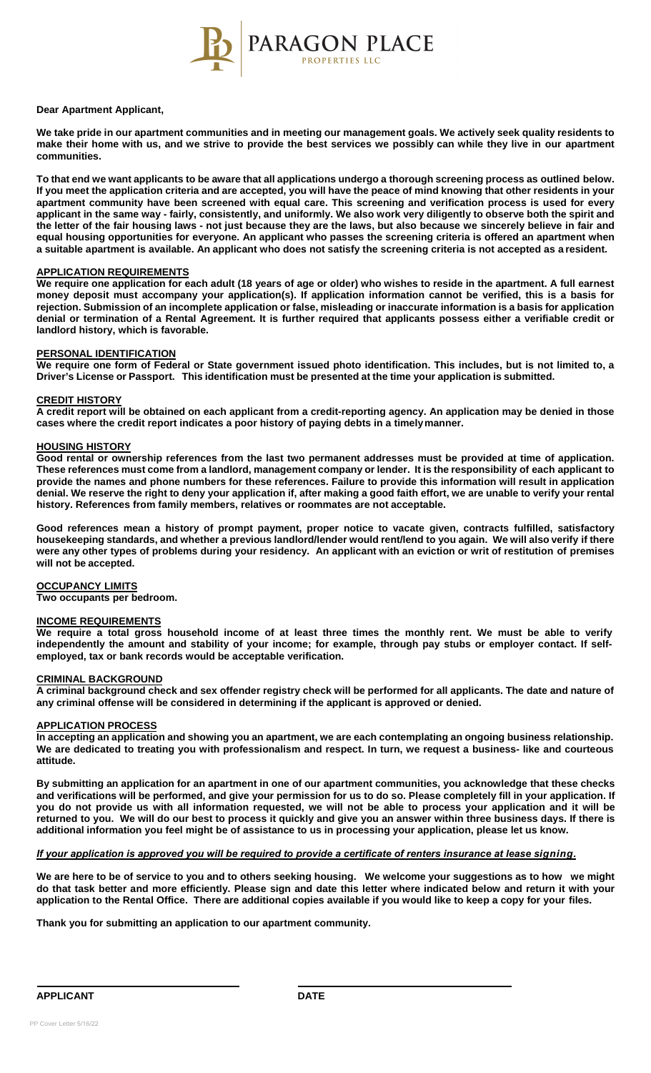

#### **Dear Apartment Applicant,**

**We take pride in our apartment communities and in meeting our management goals. We actively seek quality residents to** make their home with us, and we strive to provide the best services we possibly can while they live in our apartment **communities.**

To that end we want applicants to be aware that all applications undergo a thorough screening process as outlined below. **If you meet the application criteria and are accepted, you will have the peace of mind knowing that other residents in your apartment community have been screened with equal care. This screening and verification process is used for every applicant in the same way - fairly, consistently, and uniformly. We also work very diligently to observe both the spirit and the letter of the fair housing laws - not just because they are the laws, but also because we sincerely believe in fair and equal housing opportunities for everyone. An applicant who passes the screening criteria is offered an apartment when a suitable apartment is available. An applicant who does not satisfy the screening criteria is not accepted as a resident.**

## **APPLICATION REQUIREMENTS**

We require one application for each adult (18 years of age or older) who wishes to reside in the apartment. A full earnest **money deposit must accompany your application(s). If application information cannot be verified, this is a basis for rejection. Submission of an incomplete application or false, misleading or inaccurate information is a basis for application denial or termination of a Rental Agreement. It is further required that applicants possess either a verifiable credit or landlord history, which is favorable.**

## **PERSONAL IDENTIFICATION**

**We require one form of Federal or State government issued photo identification. This includes, but is not limited to, a Driver's License or Passport. This identification must be presented at the time your application is submitted.**

### **CREDIT HISTORY**

**A credit report will be obtained on each applicant from a credit-reporting agency. An application may be denied in those cases where the credit report indicates a poor history of paying debts in a timelymanner.**

## **HOUSING HISTORY**

**Good rental or ownership references from the last two permanent addresses must be provided at time of application.** These references must come from a landlord, management company or lender. It is the responsibility of each applicant to **provide the names and phone numbers for these references. Failure to provide this information will result in application denial. We reserve the right to deny your application if, after making a good faith effort, we are unable to verify your rental history. References from family members, relatives or roommates are not acceptable.**

Good references mean a history of prompt payment, proper notice to vacate given, contracts fulfilled, satisfactory housekeeping standards, and whether a previous landlord/lender would rent/lend to you again. We will also verify if there were any other types of problems during your residency. An applicant with an eviction or writ of restitution of premises **will not be accepted.**

#### **OCCUPANCY LIMITS**

**Two occupants per bedroom.**

# **INCOME REQUIREMENTS**

**We require a total gross household income of at least three times the monthly rent. We must be able to verify independently the amount and stability of your income; for example, through pay stubs or employer contact. If selfemployed, tax or bank records would be acceptable verification.**

# **CRIMINAL BACKGROUND**

**A criminal background check and sex offender registry check will be performed for all applicants. The date and nature of any criminal offense will be considered in determining if the applicant is approved or denied.**

## **APPLICATION PROCESS**

**In accepting an application and showing you an apartment, we are each contemplating an ongoing business relationship. We are dedicated to treating you with professionalism and respect. In turn, we request a business- like and courteous attitude.**

**By submitting an application for an apartment in one of our apartment communities, you acknowledge that these checks and verifications will be performed, and give your permission for us to do so. Please completely fill in your application. If**  you do not provide us with all information requested, we will not be able to process your application and it will be **returned to you. We will do our best to process it quickly and give you an answer within three business days. If there is additional information you feel might be of assistance to us in processing your application, please let us know.** 

# *If your application is approved you will be required to provide a certificate of renters insurance at lease signing.*

**We are here to be of service to you and to others seeking housing. We welcome your suggestions as to how we might do that task better and more efficiently. Please sign and date this letter where indicated below and return it with your application to the Rental Office. There are additional copies available if you would like to keep a copy for your files.**

**Thank you for submitting an application to our apartment community.**